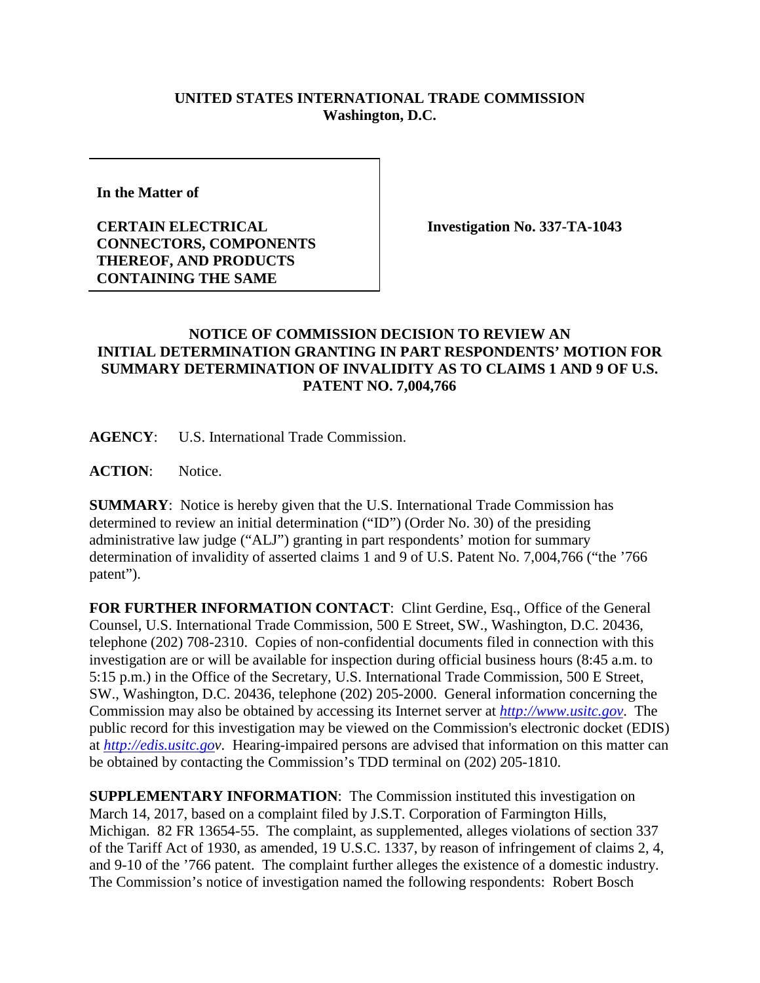## **UNITED STATES INTERNATIONAL TRADE COMMISSION Washington, D.C.**

**In the Matter of** 

**CERTAIN ELECTRICAL CONNECTORS, COMPONENTS THEREOF, AND PRODUCTS CONTAINING THE SAME**

**Investigation No. 337-TA-1043**

## **NOTICE OF COMMISSION DECISION TO REVIEW AN INITIAL DETERMINATION GRANTING IN PART RESPONDENTS' MOTION FOR SUMMARY DETERMINATION OF INVALIDITY AS TO CLAIMS 1 AND 9 OF U.S. PATENT NO. 7,004,766**

**AGENCY**: U.S. International Trade Commission.

ACTION: Notice.

**SUMMARY**: Notice is hereby given that the U.S. International Trade Commission has determined to review an initial determination ("ID") (Order No. 30) of the presiding administrative law judge ("ALJ") granting in part respondents' motion for summary determination of invalidity of asserted claims 1 and 9 of U.S. Patent No. 7,004,766 ("the '766 patent").

**FOR FURTHER INFORMATION CONTACT**: Clint Gerdine, Esq., Office of the General Counsel, U.S. International Trade Commission, 500 E Street, SW., Washington, D.C. 20436, telephone (202) 708-2310. Copies of non-confidential documents filed in connection with this investigation are or will be available for inspection during official business hours (8:45 a.m. to 5:15 p.m.) in the Office of the Secretary, U.S. International Trade Commission, 500 E Street, SW., Washington, D.C. 20436, telephone (202) 205-2000. General information concerning the Commission may also be obtained by accessing its Internet server at *[http://www.usitc.gov](http://www.usitc.gov/)*. The public record for this investigation may be viewed on the Commission's electronic docket (EDIS) at *[http://edis.usitc.gov](http://edis.usitc.go/)*. Hearing-impaired persons are advised that information on this matter can be obtained by contacting the Commission's TDD terminal on (202) 205-1810.

**SUPPLEMENTARY INFORMATION**: The Commission instituted this investigation on March 14, 2017, based on a complaint filed by J.S.T. Corporation of Farmington Hills, Michigan. 82 FR 13654-55. The complaint, as supplemented, alleges violations of section 337 of the Tariff Act of 1930, as amended, 19 U.S.C. 1337, by reason of infringement of claims 2, 4, and 9-10 of the '766 patent. The complaint further alleges the existence of a domestic industry. The Commission's notice of investigation named the following respondents: Robert Bosch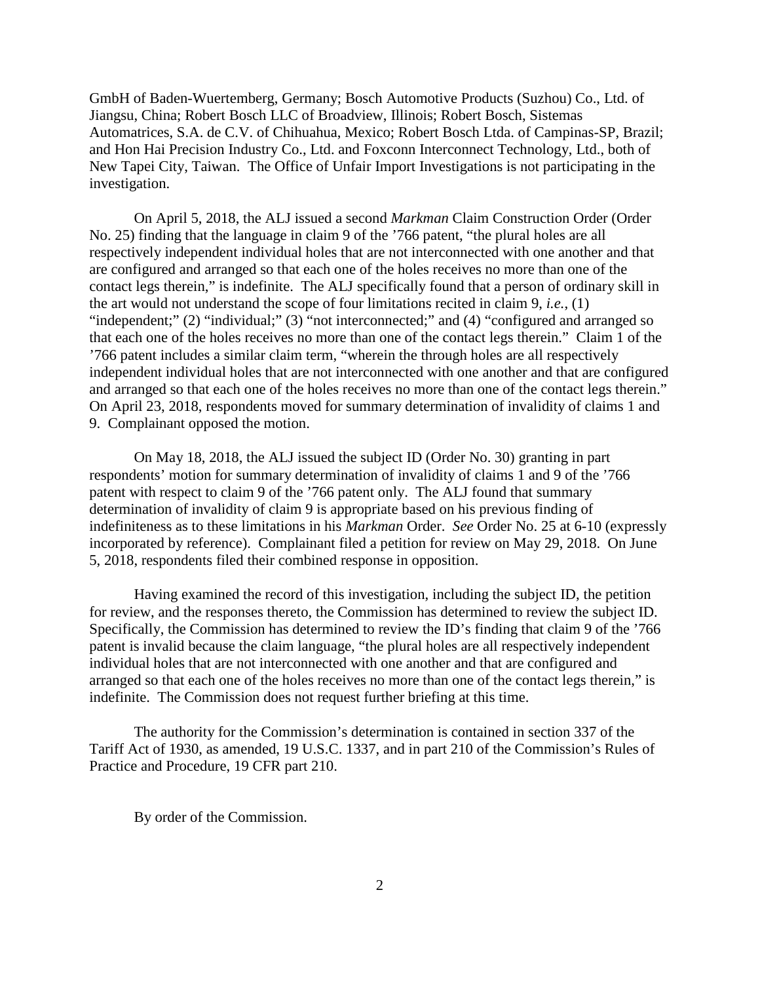GmbH of Baden-Wuertemberg, Germany; Bosch Automotive Products (Suzhou) Co., Ltd. of Jiangsu, China; Robert Bosch LLC of Broadview, Illinois; Robert Bosch, Sistemas Automatrices, S.A. de C.V. of Chihuahua, Mexico; Robert Bosch Ltda. of Campinas-SP, Brazil; and Hon Hai Precision Industry Co., Ltd. and Foxconn Interconnect Technology, Ltd., both of New Tapei City, Taiwan. The Office of Unfair Import Investigations is not participating in the investigation.

On April 5, 2018, the ALJ issued a second *Markman* Claim Construction Order (Order No. 25) finding that the language in claim 9 of the '766 patent, "the plural holes are all respectively independent individual holes that are not interconnected with one another and that are configured and arranged so that each one of the holes receives no more than one of the contact legs therein," is indefinite. The ALJ specifically found that a person of ordinary skill in the art would not understand the scope of four limitations recited in claim 9, *i.e.*, (1) "independent;" (2) "individual;" (3) "not interconnected;" and (4) "configured and arranged so that each one of the holes receives no more than one of the contact legs therein." Claim 1 of the '766 patent includes a similar claim term, "wherein the through holes are all respectively independent individual holes that are not interconnected with one another and that are configured and arranged so that each one of the holes receives no more than one of the contact legs therein." On April 23, 2018, respondents moved for summary determination of invalidity of claims 1 and 9. Complainant opposed the motion.

On May 18, 2018, the ALJ issued the subject ID (Order No. 30) granting in part respondents' motion for summary determination of invalidity of claims 1 and 9 of the '766 patent with respect to claim 9 of the '766 patent only. The ALJ found that summary determination of invalidity of claim 9 is appropriate based on his previous finding of indefiniteness as to these limitations in his *Markman* Order. *See* Order No. 25 at 6-10 (expressly incorporated by reference). Complainant filed a petition for review on May 29, 2018. On June 5, 2018, respondents filed their combined response in opposition.

Having examined the record of this investigation, including the subject ID, the petition for review, and the responses thereto, the Commission has determined to review the subject ID. Specifically, the Commission has determined to review the ID's finding that claim 9 of the '766 patent is invalid because the claim language, "the plural holes are all respectively independent individual holes that are not interconnected with one another and that are configured and arranged so that each one of the holes receives no more than one of the contact legs therein," is indefinite. The Commission does not request further briefing at this time.

The authority for the Commission's determination is contained in section 337 of the Tariff Act of 1930, as amended, 19 U.S.C. 1337, and in part 210 of the Commission's Rules of Practice and Procedure, 19 CFR part 210.

By order of the Commission.